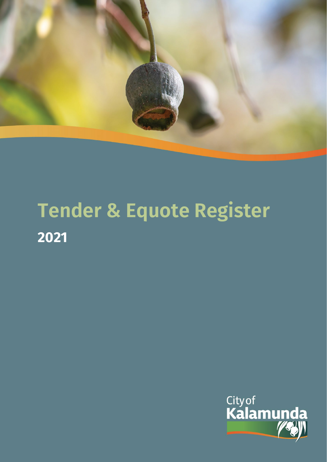

## **Tender & Equote Register 2021**

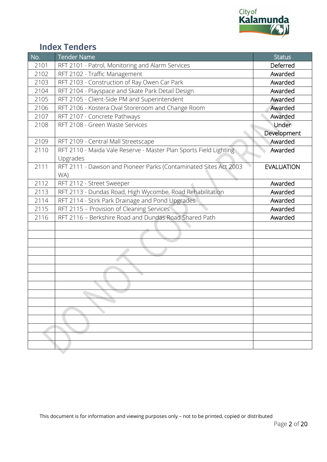

## **Index Tenders**

| No.  | <b>Tender Name</b>                                                | <b>Status</b>     |
|------|-------------------------------------------------------------------|-------------------|
| 2101 | RFT 2101 - Patrol, Monitoring and Alarm Services                  | Deferred          |
| 2102 | RFT 2102 - Traffic Management                                     | Awarded           |
| 2103 | RFT 2103 - Construction of Ray Owen Car Park                      | Awarded           |
| 2104 | RFT 2104 - Playspace and Skate Park Detail Design                 | Awarded           |
| 2105 | RFT 2105 - Client-Side PM and Superintendent                      | Awarded           |
| 2106 | RFT 2106 - Kostera Oval Storeroom and Change Room                 | Awarded           |
| 2107 | RFT 2107 - Concrete Pathways                                      | Awarded           |
| 2108 | RFT 2108 - Green Waste Services                                   | Under             |
|      |                                                                   | Development       |
| 2109 | RFT 2109 - Central Mall Streetscape                               | Awarded           |
| 2110 | RFT 2110 - Maida Vale Reserve - Master Plan Sports Field Lighting | Awarded           |
|      | Upgrades                                                          |                   |
| 2111 | RFT 2111 - Dawson and Pioneer Parks (Contaminated Sites Act 2003  | <b>EVALUATION</b> |
|      | WA)                                                               |                   |
| 2112 | RFT 2112 - Street Sweeper                                         | Awarded           |
| 2113 | RFT 2113 - Dundas Road, High Wycombe, Road Rehabilitation         | Awarded           |
| 2114 | RFT 2114 - Stirk Park Drainage and Pond Upgrades                  | Awarded           |
| 2115 | RFT 2115 - Provision of Cleaning Services                         | Awarded           |
| 2116 | RFT 2116 - Berkshire Road and Dundas Road Shared Path             | Awarded           |
|      |                                                                   |                   |
|      |                                                                   |                   |
|      |                                                                   |                   |
|      |                                                                   |                   |
|      |                                                                   |                   |
|      |                                                                   |                   |
|      |                                                                   |                   |
|      |                                                                   |                   |
|      |                                                                   |                   |
|      |                                                                   |                   |
|      |                                                                   |                   |
|      |                                                                   |                   |
|      |                                                                   |                   |
|      |                                                                   |                   |
|      |                                                                   |                   |
|      |                                                                   |                   |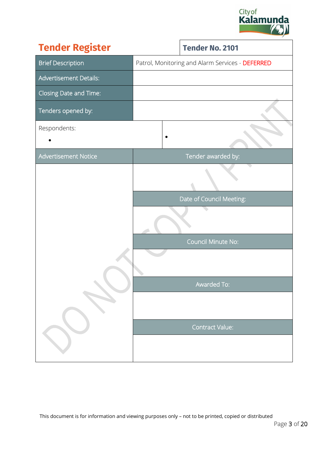<span id="page-2-0"></span>

| <b>Tender Register</b>        |  | <b>Tender No. 2101</b>                           |
|-------------------------------|--|--------------------------------------------------|
| <b>Brief Description</b>      |  | Patrol, Monitoring and Alarm Services - DEFERRED |
| <b>Advertisement Details:</b> |  |                                                  |
| Closing Date and Time:        |  |                                                  |
| Tenders opened by:            |  |                                                  |
| Respondents:                  |  |                                                  |
| <b>Advertisement Notice</b>   |  | Tender awarded by:                               |
|                               |  |                                                  |
|                               |  | Date of Council Meeting:                         |
|                               |  |                                                  |
|                               |  | Council Minute No:                               |
|                               |  |                                                  |
|                               |  |                                                  |
|                               |  | Awarded To:                                      |
|                               |  |                                                  |
|                               |  | <b>Contract Value:</b>                           |
|                               |  |                                                  |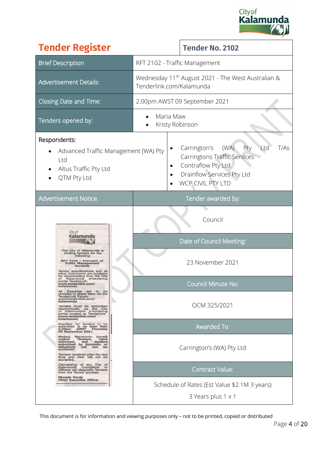

| <b>Tender Register</b>                                                                                                                                                                                                                                                                   | <b>Tender No. 2102</b>                                                                                                                                           |  |  |
|------------------------------------------------------------------------------------------------------------------------------------------------------------------------------------------------------------------------------------------------------------------------------------------|------------------------------------------------------------------------------------------------------------------------------------------------------------------|--|--|
| <b>Brief Description</b>                                                                                                                                                                                                                                                                 | RFT 2102 - Traffic Management                                                                                                                                    |  |  |
| <b>Advertisement Details:</b>                                                                                                                                                                                                                                                            | Wednesday 11 <sup>th</sup> August 2021 - The West Australian &<br>Tenderlink.com/Kalamunda                                                                       |  |  |
| Closing Date and Time:                                                                                                                                                                                                                                                                   | 2.00pm AWST 09 September 2021                                                                                                                                    |  |  |
| Tenders opened by:                                                                                                                                                                                                                                                                       | Maria Maw<br>Kristy Robinson                                                                                                                                     |  |  |
| Respondents:<br>Advanced Traffic Management (WA) Pty<br>Ltd<br>Altus Traffic Pty Ltd<br>QTM Pty Ltd                                                                                                                                                                                      | Carrington's<br>(WA)<br>Pty<br>T/As<br>Ltd<br>Carringtons Traffic Services<br>Contraflow Pty Ltd<br>$\bullet$<br>Drainflow Services Pty Ltd<br>WCP CIVIL PTY LTD |  |  |
| <b>Advertisement Notice</b>                                                                                                                                                                                                                                                              | Tender awarded by:                                                                                                                                               |  |  |
| City of                                                                                                                                                                                                                                                                                  | Council                                                                                                                                                          |  |  |
| Kalamunda                                                                                                                                                                                                                                                                                | Date of Council Meeting:                                                                                                                                         |  |  |
| The City of Kalamunda is<br>inviting tenders for the<br>following:<br>RFT 2102 - Provision of<br>Traffic Management<br>Services<br>Tender specifications and all<br>other documents are available<br>for downloading from the City                                                       | 23 November 2021                                                                                                                                                 |  |  |
| Kalamunda e-tendering<br>portal TenderLink:<br>www.tenderlink.com/<br>kalamunda                                                                                                                                                                                                          | <b>Council Minute No:</b>                                                                                                                                        |  |  |
| All Enquiries are to be<br>directed to Maria Maw via the<br><b>TenderLink Forum:</b><br>www.tenderlink.com/<br>kalamunda<br>lenders must be submitted<br>electronically via the City<br>of Kalamunda's e-tendering<br>portal located on TenderLink<br>(www.tenderlink.com/<br>kalamunda) | OCM 325/2021                                                                                                                                                     |  |  |
| Deadline for tenders to be<br>submitted is no later than<br>2.00pm AWST Thursday<br>Thursday<br>09 September 2021.                                                                                                                                                                       | <b>Awarded To:</b>                                                                                                                                               |  |  |
| Mailed,<br>Electronic<br>(email)<br>malled<br>Tenders,<br>hand<br>delivered,<br>and<br>tenders<br>submitted by facsimile or<br>telephone<br>will<br>not<br>be<br>accepted.<br>Tenders received after the due<br>time and date will not be<br>accepted.                                   | Carrington's (WA) Pty Ltd                                                                                                                                        |  |  |
| Canvassing of any City of<br>Councillors<br>Kalamunda<br>or<br>Officers will disqualify Tenders<br>from the Tender process.                                                                                                                                                              | <b>Contract Value:</b>                                                                                                                                           |  |  |
| Rhonda Hardy<br><b>Chief Executive Officer</b>                                                                                                                                                                                                                                           | Schedule of Rates (Est Value \$2.1M 3 years)<br>3 Years plus 1 x 1                                                                                               |  |  |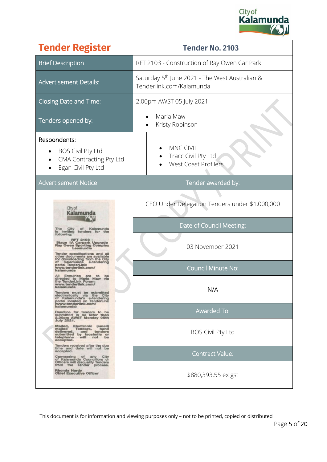

| <b>Tender Register</b>                                                                                                                                                                                                             | <b>Tender No. 2103</b>                                                                 |  |  |
|------------------------------------------------------------------------------------------------------------------------------------------------------------------------------------------------------------------------------------|----------------------------------------------------------------------------------------|--|--|
| <b>Brief Description</b>                                                                                                                                                                                                           | RFT 2103 - Construction of Ray Owen Car Park                                           |  |  |
| <b>Advertisement Details:</b>                                                                                                                                                                                                      | Saturday 5 <sup>th</sup> June 2021 - The West Australian &<br>Tenderlink.com/Kalamunda |  |  |
| Closing Date and Time:                                                                                                                                                                                                             | 2.00pm AWST 05 July 2021                                                               |  |  |
| Tenders opened by:                                                                                                                                                                                                                 | Maria Maw<br>Kristy Robinson                                                           |  |  |
| Respondents:<br><b>BOS Civil Pty Ltd</b><br>CMA Contracting Pty Ltd<br>Egan Civil Pty Ltd                                                                                                                                          | MNC CIVIL<br>Tracc Civil Pty Ltd<br><b>West Coast Profilers</b>                        |  |  |
| <b>Advertisement Notice</b>                                                                                                                                                                                                        | Tender awarded by:                                                                     |  |  |
| Cityof                                                                                                                                                                                                                             | CEO Under Delegation Tenders under \$1,000,000<br>Date of Council Meeting:             |  |  |
| e 1A Carpark Upgrade<br><b>Owen Sporting Complex</b><br>.esmundie<br>Tender specifications and<br>other documents are available<br>downloading from the City<br>Kalamunda<br>e-tendering                                           | 03 November 2021                                                                       |  |  |
| tal TenderLink:<br>w.tenderlink.com<br>be                                                                                                                                                                                          | <b>Council Minute No:</b>                                                              |  |  |
| directed to Maria Maw<br>the TenderLink Forum:<br>www.tenderlink.com<br>kalamunda<br>Tenders must be submitted<br>electronically via the City<br>of Kalamunda's e-tendering<br>portal located on TenderLink<br>www.tenderlink.com/ | N/A                                                                                    |  |  |
| kalamunda)<br>Deadline for tenders to be<br>submitted is no later than<br>2.00pm AWST Monday 05th<br>July 2021.                                                                                                                    | <b>Awarded To:</b>                                                                     |  |  |
| Mailed, Electronic<br>mailed Tenders,<br>(email)<br>Tenders,<br>hand<br>delivered,<br>and<br>tenders<br>submitted<br>by facsimile or<br>will not be<br>telephone<br>accepted.                                                      | <b>BOS Civil Pty Ltd</b>                                                               |  |  |
| Tenders received after the due<br>time and date will not be<br>accepted.<br>Canvassing<br>of<br>any<br>City<br>of Kalamunda Councillors or                                                                                         | <b>Contract Value:</b>                                                                 |  |  |
| Officers will disqualify Tenders<br>from the Tender process.<br>Rhonda Hardy<br>Chief Executive Officer                                                                                                                            | \$880,393.55 ex gst                                                                    |  |  |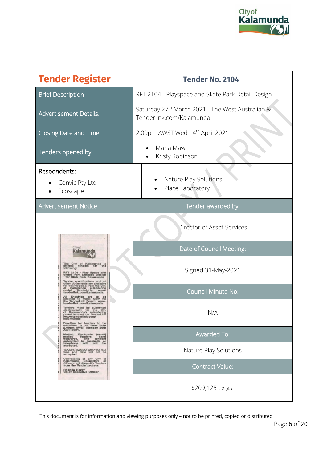

| <b>Tender Register</b>                                                                                                                                                                                                                                                          | <b>Tender No. 2104</b>                                                                   |  |  |
|---------------------------------------------------------------------------------------------------------------------------------------------------------------------------------------------------------------------------------------------------------------------------------|------------------------------------------------------------------------------------------|--|--|
| <b>Brief Description</b>                                                                                                                                                                                                                                                        | RFT 2104 - Playspace and Skate Park Detail Design                                        |  |  |
| <b>Advertisement Details:</b>                                                                                                                                                                                                                                                   | Saturday 27 <sup>th</sup> March 2021 - The West Australian &<br>Tenderlink.com/Kalamunda |  |  |
| <b>Closing Date and Time:</b>                                                                                                                                                                                                                                                   | 2.00pm AWST Wed 14 <sup>th</sup> April 2021                                              |  |  |
| Tenders opened by:                                                                                                                                                                                                                                                              | Maria Maw<br>Kristy Robinson                                                             |  |  |
| Respondents:<br>Convic Pty Ltd<br>Ecoscape                                                                                                                                                                                                                                      | Nature Play Solutions<br>Place Laboratory                                                |  |  |
| <b>Advertisement Notice</b>                                                                                                                                                                                                                                                     | Tender awarded by:                                                                       |  |  |
|                                                                                                                                                                                                                                                                                 | Director of Asset Services                                                               |  |  |
| Cityof<br>Kalamunda<br>The City of Kalamunda is<br>inviting tenders for the<br>following:<br>RFT 2104 - Play Space and<br>Skate Park Detailed Design<br>for Stirk Park Kalamunda<br>Tender specifications and all                                                               | Date of Council Meeting:                                                                 |  |  |
|                                                                                                                                                                                                                                                                                 | Signed 31-May-2021                                                                       |  |  |
| other documents are available<br>for downloading from the City<br>of<br>Kalamunda e-tendering<br>al TenderLink: www.<br>portal<br>tenderlink.com/kalamunda.                                                                                                                     | <b>Council Minute No:</b>                                                                |  |  |
| All Enquiries are to be<br>directed to Maria Maw via<br>the TenderLink Forum: www.<br>tenderlink.com/kalamunda.<br>Tenders must be submitted<br>electronically via the City<br>of Kalamunda's e-tendering<br>portal located on TenderLink<br>(www.tenderlink.com/<br>kalamunda) | N/A                                                                                      |  |  |
| Deadline for tenders to be<br>submitted is no later than<br>2.00pm AWST Monday 26th<br>April 2021.<br>Malled, Electronic (email)<br>Tenders, hand<br>and tenders<br>mailed<br>delivered, and tenured<br>aubmitted by facsimile or<br>subminone will not be                      | <b>Awarded To:</b>                                                                       |  |  |
| Tenders received after the due<br>time and date will not be<br>accepted.                                                                                                                                                                                                        | Nature Play Solutions                                                                    |  |  |
| Canvassing of any City of<br>Kalamunda Councillors or<br>Officers will disqualify Tenders<br>from the Tender process.<br><b>Rhonda Hardy</b><br><b>Chief Executive Officer</b>                                                                                                  | <b>Contract Value:</b>                                                                   |  |  |
|                                                                                                                                                                                                                                                                                 | \$209,125 ex gst                                                                         |  |  |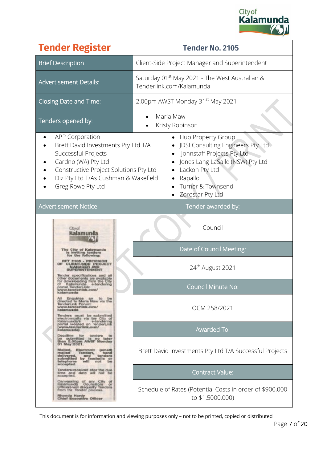

|                                                                                                                                                                                                                    | <b>Tender Register</b>                                                                                                                                                                                                                           |                                                                                        | <b>Tender No. 2105</b>                                                                                                                                                                          |  |  |
|--------------------------------------------------------------------------------------------------------------------------------------------------------------------------------------------------------------------|--------------------------------------------------------------------------------------------------------------------------------------------------------------------------------------------------------------------------------------------------|----------------------------------------------------------------------------------------|-------------------------------------------------------------------------------------------------------------------------------------------------------------------------------------------------|--|--|
| <b>Brief Description</b>                                                                                                                                                                                           |                                                                                                                                                                                                                                                  |                                                                                        | Client-Side Project Manager and Superintendent                                                                                                                                                  |  |  |
| <b>Advertisement Details:</b>                                                                                                                                                                                      |                                                                                                                                                                                                                                                  | Saturday 01 <sup>st</sup> May 2021 - The West Australian &<br>Tenderlink.com/Kalamunda |                                                                                                                                                                                                 |  |  |
| <b>Closing Date and Time:</b>                                                                                                                                                                                      |                                                                                                                                                                                                                                                  |                                                                                        | 2.00pm AWST Monday 31 <sup>st</sup> May 2021                                                                                                                                                    |  |  |
| Tenders opened by:                                                                                                                                                                                                 |                                                                                                                                                                                                                                                  |                                                                                        | Maria Maw<br>Kristy Robinson                                                                                                                                                                    |  |  |
| <b>APP Corporation</b><br>Brett David Investments Pty Ltd T/A<br>Successful Projects<br>Cardno (WA) Pty Ltd<br>Constructive Project Solutions Pty Ltd<br>Diz Pty Ltd T/As Cushman & Wakefield<br>Greg Rowe Pty Ltd |                                                                                                                                                                                                                                                  |                                                                                        | Hub Property Group<br>JDSI Consulting Engineers Pty Ltd<br>Johnstaff Projects Pty Ltd<br>Jones Lang LaSalle (NSW) Pty Ltd<br>Lackon Pty Ltd<br>Rapallo<br>Turner & Townsend<br>Zorostar Pty Ltd |  |  |
| <b>Advertisement Notice</b>                                                                                                                                                                                        |                                                                                                                                                                                                                                                  |                                                                                        | Tender awarded by:                                                                                                                                                                              |  |  |
|                                                                                                                                                                                                                    | <b>City of</b>                                                                                                                                                                                                                                   |                                                                                        | Council                                                                                                                                                                                         |  |  |
|                                                                                                                                                                                                                    | City of Kalemunda<br>mviting tenders                                                                                                                                                                                                             |                                                                                        | Date of Council Meeting:                                                                                                                                                                        |  |  |
|                                                                                                                                                                                                                    |                                                                                                                                                                                                                                                  |                                                                                        | 24 <sup>th</sup> August 2021                                                                                                                                                                    |  |  |
|                                                                                                                                                                                                                    | portal TeriderLink:<br>www.tenderlink.com/<br>kalamusda                                                                                                                                                                                          |                                                                                        | <b>Council Minute No:</b>                                                                                                                                                                       |  |  |
|                                                                                                                                                                                                                    | All i<br>Enguiries art to be<br>directed to Maria Maw via the<br>www.tenderlink.com/<br>kalamusda<br>Tenders must be submitted<br>electron-cally via tie City of                                                                                 |                                                                                        | OCM 258/2021                                                                                                                                                                                    |  |  |
|                                                                                                                                                                                                                    | Kalanunda's elendering<br>portal leceted on enderLink<br>www.tenderlink.orm/<br>kalamunda)                                                                                                                                                       |                                                                                        | <b>Awarded To:</b>                                                                                                                                                                              |  |  |
|                                                                                                                                                                                                                    | Deadline for tenders to<br>then SLODpm AWSF Monday<br>31 May 2021.<br>Malled, Electronic<br>(email)<br>mailed<br>Tenders,<br>hamd<br>tenders<br>delivered,<br>and<br>submitted<br>by faculmile or<br>will not be<br>telephone<br>be<br>nccepted. |                                                                                        | Brett David Investments Pty Ltd T/A Successful Projects                                                                                                                                         |  |  |
|                                                                                                                                                                                                                    | Tenders received after the due<br>time and date will not be<br>accepted.                                                                                                                                                                         |                                                                                        | Contract Value:                                                                                                                                                                                 |  |  |
| Canwassing of any City of<br>Kalamunda Counsillors or<br>Officers will disquality Tenders<br>from the Tender process.<br><b>Rhonda Hardy</b><br>Chief Executive Officer                                            |                                                                                                                                                                                                                                                  |                                                                                        | Schedule of Rates (Potential Costs in order of \$900,000<br>to \$1,5000,000)                                                                                                                    |  |  |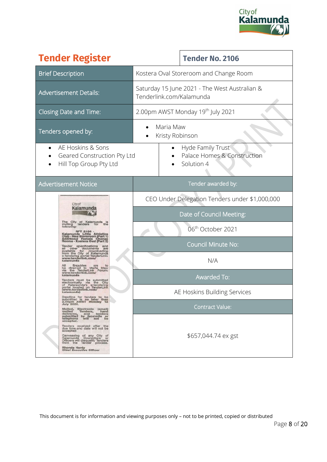

| <b>Tender Register</b>                                                                                                                                                                                                                         |                                                                           |   | <b>Tender No. 2106</b>                                         |
|------------------------------------------------------------------------------------------------------------------------------------------------------------------------------------------------------------------------------------------------|---------------------------------------------------------------------------|---|----------------------------------------------------------------|
| <b>Brief Description</b>                                                                                                                                                                                                                       | Kostera Oval Storeroom and Change Room                                    |   |                                                                |
| <b>Advertisement Details:</b>                                                                                                                                                                                                                  | Saturday 15 June 2021 - The West Australian &<br>Tenderlink.com/Kalamunda |   |                                                                |
| Closing Date and Time:                                                                                                                                                                                                                         | 2.00pm AWST Monday 19 <sup>th</sup> July 2021                             |   |                                                                |
| Tenders opened by:                                                                                                                                                                                                                             | Maria Maw<br>Kristy Robinson                                              |   |                                                                |
| AE Hoskins & Sons<br>Geared Construction Pty Ltd<br>Hill Top Group Pty Ltd                                                                                                                                                                     |                                                                           | ٠ | Hyde Family Trust<br>Palace Homes & Construction<br>Solution 4 |
| <b>Advertisement Notice</b>                                                                                                                                                                                                                    | Tender awarded by:                                                        |   |                                                                |
| City of                                                                                                                                                                                                                                        | CEO Under Delegation Tenders under \$1,000,000                            |   |                                                                |
| Kalamunda                                                                                                                                                                                                                                      | Date of Council Meeting:                                                  |   |                                                                |
| City of Kalamunda<br>inviting<br>following:<br>tenders<br>for<br>RFT 2106<br>Kalamunda Little Athletic                                                                                                                                         | 06 <sup>th</sup> October 2021                                             |   |                                                                |
| Club - New Storeroom (Part 1)<br>Additional Female Change<br>Rooms - Kostera Oval (Part 2)<br>Tender specifications                                                                                                                            |                                                                           |   | <b>Council Minute No:</b>                                      |
| elli other documents are<br>available for downloading<br>from the City of Kalamunda<br>e-tendering portal TenderLink:<br>www.tenderlink.com/<br>kalamunda<br>Enquiries<br>to<br>are                                                            | N/A                                                                       |   |                                                                |
| directed to<br>Maria<br>Maw<br>be<br>TenderLink<br>Forum:<br>www.tenderlink.com/<br>kalamunda<br>kalamunda<br>Tenders must be submitted                                                                                                        | <b>Awarded To:</b>                                                        |   |                                                                |
| electronically via the City<br>portal located on Tendering<br>www.tenderlink.com/<br>kalamunda)                                                                                                                                                | AE Hoskins Building Services                                              |   |                                                                |
| Deadline for tenders to be<br>is no later than<br>submitted<br>2.00pm AWST Monday 12<br><b>July 2021.</b><br>Mailed, Electronic (email)                                                                                                        | <b>Contract Value:</b>                                                    |   |                                                                |
| mailed<br>Tenders, have<br>Tenders, tenders<br>mailed<br>delivered, and<br>submitted by facsimile or<br>tashone will not be                                                                                                                    |                                                                           |   |                                                                |
| Tenders received after the<br>due time and date will not be<br>accepted<br>Canvassing of any City of<br>Kalamunda Councillors or<br>Officers will disqualify Tenders<br>from the<br>Tender process.<br>Rhonda Hardy<br>Chief Executive Officer |                                                                           |   | \$657,044.74 ex gst                                            |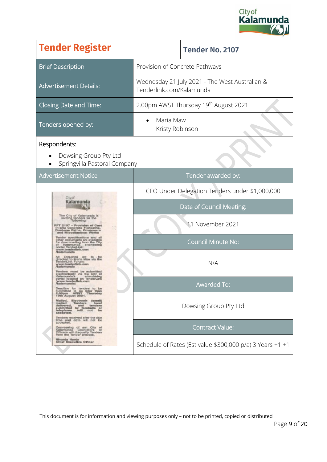

| <b>Tender Register</b>                                                                                                                                                                                                |                                                                            | <b>Tender No. 2107</b>                            |  |  |
|-----------------------------------------------------------------------------------------------------------------------------------------------------------------------------------------------------------------------|----------------------------------------------------------------------------|---------------------------------------------------|--|--|
| <b>Brief Description</b>                                                                                                                                                                                              | Provision of Concrete Pathways                                             |                                                   |  |  |
| <b>Advertisement Details:</b>                                                                                                                                                                                         | Wednesday 21 July 2021 - The West Australian &<br>Tenderlink.com/Kalamunda |                                                   |  |  |
| Closing Date and Time:                                                                                                                                                                                                |                                                                            | 2.00pm AWST Thursday 19 <sup>th</sup> August 2021 |  |  |
| Tenders opened by:                                                                                                                                                                                                    | Maria Maw<br>Kristy Robinson                                               |                                                   |  |  |
| Respondents:<br>Dowsing Group Pty Ltd<br>Springvilla Pastoral Company                                                                                                                                                 |                                                                            |                                                   |  |  |
| <b>Advertisement Notice</b>                                                                                                                                                                                           | Tender awarded by:                                                         |                                                   |  |  |
| Chyof                                                                                                                                                                                                                 | CEO Under Delegation Tenders under \$1,000,000                             |                                                   |  |  |
| Kalamunda                                                                                                                                                                                                             | Date of Council Meeting:                                                   |                                                   |  |  |
| C'ty of Kalanunda k<br>inviting tenders for the<br>RFT 2107 - Provision of Cast<br>In-situ Concrete Piotpaths,<br>Dual-use Paths, Coosovert<br>Miscellaneous Works                                                    | 11 November 2021                                                           |                                                   |  |  |
| documents are availabl<br>downloading from the City<br>Kalamunda<br>a-tend<br>portal TenderLink:                                                                                                                      |                                                                            | <b>Council Minute No:</b>                         |  |  |
| www.basderlink.com<br>/kalamurida<br>directed to Maria Maw via the<br>Tender Link Forum:<br>www.bink Forum:<br>w.teaderlink.com<br>kalamenda<br>must be sub                                                           |                                                                            | N/A                                               |  |  |
| ctronically via the City of<br><b>Kalamuricia</b> 's<br>tendering<br>portal located on Tender<br>www.tenderlink.com<br>kalamundal<br>Deadline for tenders to be<br>submitted is no later than<br>2.00pm AWST Thursday |                                                                            | Awarded To:                                       |  |  |
| 19th August 2021.<br>Mailed, Electronic (email)<br>Tenders hand<br>melled<br>meined sed tenders<br>submitted by facsimile or<br>telephone will not be<br>accepted.                                                    |                                                                            | Dowsing Group Pty Ltd                             |  |  |
| Tenders received after the due<br>time and date will not be<br>accepted.<br>Ceriveseing of an City of<br>Kalemunda Countillors or                                                                                     | <b>Contract Value:</b>                                                     |                                                   |  |  |
| Officers will disquality Tenders<br>from the Tender process.<br><b>Rhonda Hardy</b><br><b>Chief Esecutive Officer</b>                                                                                                 | Schedule of Rates (Est value \$300,000 p/a) 3 Years $+1$ +1                |                                                   |  |  |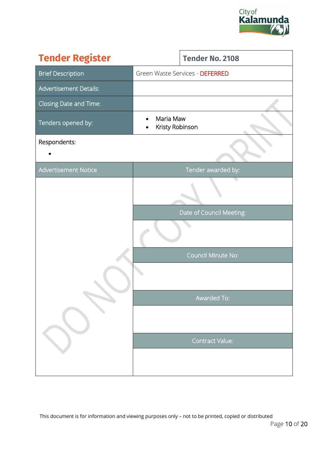

| <b>Tender Register</b>        |                              | <b>Tender No. 2108</b>          |
|-------------------------------|------------------------------|---------------------------------|
| <b>Brief Description</b>      |                              | Green Waste Services - DEFERRED |
| <b>Advertisement Details:</b> |                              |                                 |
| Closing Date and Time:        |                              |                                 |
| Tenders opened by:            | Maria Maw<br>Kristy Robinson |                                 |
| Respondents:                  |                              |                                 |
| Advertisement Notice          |                              | Tender awarded by:              |
|                               |                              |                                 |
|                               |                              | Date of Council Meeting:        |
|                               |                              |                                 |
|                               |                              | Council Minute No:              |
|                               |                              |                                 |
|                               |                              | Awarded To:                     |
|                               |                              |                                 |
|                               |                              | <b>Contract Value:</b>          |
|                               |                              |                                 |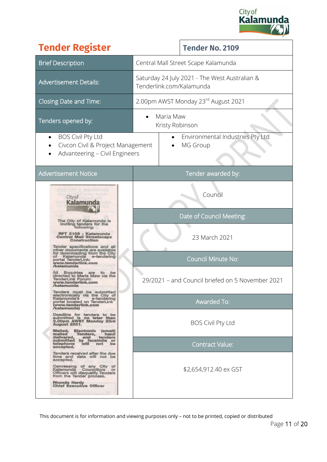

| <b>Tender Register</b>                                                                                                                                                                            |                                                                                                                                                                       |                              | <b>Tender No. 2109</b>              |
|---------------------------------------------------------------------------------------------------------------------------------------------------------------------------------------------------|-----------------------------------------------------------------------------------------------------------------------------------------------------------------------|------------------------------|-------------------------------------|
| <b>Brief Description</b>                                                                                                                                                                          | Central Mall Street Scape Kalamunda                                                                                                                                   |                              |                                     |
| <b>Advertisement Details:</b>                                                                                                                                                                     | Saturday 24 July 2021 - The West Australian &<br>Tenderlink.com/Kalamunda                                                                                             |                              |                                     |
| <b>Closing Date and Time:</b>                                                                                                                                                                     |                                                                                                                                                                       |                              | 2.00pm AWST Monday 23rd August 2021 |
| Tenders opened by:                                                                                                                                                                                |                                                                                                                                                                       | Maria Maw<br>Kristy Robinson |                                     |
| <b>BOS Civil Pty Ltd</b><br>Civcon Civil & Project Management<br>Advanteering - Civil Engineers                                                                                                   | Environmental Industries Pty Ltd<br>MG Group                                                                                                                          |                              |                                     |
| <b>Advertisement Notice</b>                                                                                                                                                                       |                                                                                                                                                                       |                              | Tender awarded by:                  |
| City of<br>Kalan                                                                                                                                                                                  |                                                                                                                                                                       |                              | Council                             |
| The City of Kalamunda is<br>inviting tenders for the                                                                                                                                              | Date of Council Meeting:<br>23 March 2021<br><b>Council Minute No:</b><br>29/2021 - and Council briefed on 5 November 2021<br>Awarded To:<br><b>BOS Civil Pty Ltd</b> |                              |                                     |
| following:<br>RFT 2109 - Kalamunda<br><b>Central Mall Streetscape</b><br>Construction                                                                                                             |                                                                                                                                                                       |                              |                                     |
| Tender specifications and all<br>other documents are available<br>for downloading from the City<br>Kalamunda<br>e-tendering<br>portal TenderLink:<br>vww.tenderlink.con<br>/kalamunda             |                                                                                                                                                                       |                              |                                     |
| <b>Enquiries</b><br>are<br>to<br>be<br>directed to Maria Maw via the<br>TenderLink Forum:<br>www.tenderlink.com<br>kalamunda                                                                      |                                                                                                                                                                       |                              |                                     |
| Tenders must be submitted<br>electronically via the City of<br>Kalamunda's<br>e-tendering<br>portal located on TenderLink<br>(www.tenderlink.com<br>/kalamunda)                                   |                                                                                                                                                                       |                              |                                     |
| Deadline for tenders to be<br>submitted is no later than<br>2.00pm AWST Monday 23rd<br><b>August 2021.</b>                                                                                        |                                                                                                                                                                       |                              |                                     |
| Malled,<br>Electronic (email)<br>mailed<br>Tenders,<br>hand<br>delivered,<br>tenders<br>and<br>submitted by facsimile or<br>telephone<br>accepted.<br>will<br>not<br>be                           | <b>Contract Value:</b>                                                                                                                                                |                              |                                     |
| Tenders received after the due<br>time and date will not be<br>accepted.<br>Canvassing of any City of<br>Kalamunda Councillors or<br>Officers will disqualify Tenders<br>from the Tender process. | \$2,654,912.40 ex GST                                                                                                                                                 |                              |                                     |
| Rhonda Hardy<br><b>Chief Executive Officer</b>                                                                                                                                                    |                                                                                                                                                                       |                              |                                     |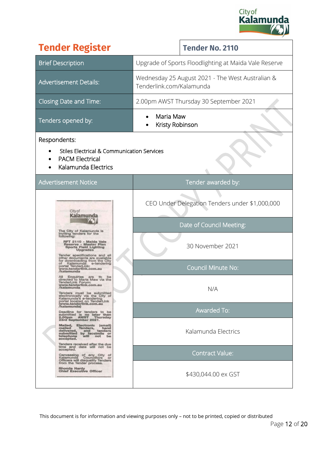

| <b>Tender Register</b>                                                                                                                                                                                                                              | <b>Tender No. 2110</b>                                                       |  |  |
|-----------------------------------------------------------------------------------------------------------------------------------------------------------------------------------------------------------------------------------------------------|------------------------------------------------------------------------------|--|--|
| <b>Brief Description</b>                                                                                                                                                                                                                            | Upgrade of Sports Floodlighting at Maida Vale Reserve                        |  |  |
| <b>Advertisement Details:</b>                                                                                                                                                                                                                       | Wednesday 25 August 2021 - The West Australian &<br>Tenderlink.com/Kalamunda |  |  |
| Closing Date and Time:                                                                                                                                                                                                                              | 2.00pm AWST Thursday 30 September 2021                                       |  |  |
| Tenders opened by:                                                                                                                                                                                                                                  | Maria Maw<br>Kristy Robinson                                                 |  |  |
| Respondents:<br><b>Stiles Electrical &amp; Communication Services</b><br><b>PACM Electrical</b><br>Kalamunda Electrics                                                                                                                              |                                                                              |  |  |
| <b>Advertisement Notice</b>                                                                                                                                                                                                                         | Tender awarded by:                                                           |  |  |
| Citvof                                                                                                                                                                                                                                              | CEO Under Delegation Tenders under \$1,000,000                               |  |  |
| The City of Kalamunda is                                                                                                                                                                                                                            | Date of Council Meeting:                                                     |  |  |
| inviting tenders for the<br>following:<br>RFT 2110 - Maida Vale<br>Reserve - Master Plan<br><b>Sports Field Lighting</b><br>Upgrades<br>Tender specifications and all<br>other documents are available                                              | 30 November 2021                                                             |  |  |
| for downloading from the City<br>Kalamunda<br>e-tendering<br>portal TenderLink:<br>www.tenderlink.com.au<br>kalamunda                                                                                                                               | <b>Council Minute No:</b>                                                    |  |  |
| Enquiries<br>are<br>be<br>to<br>directed to Maria Maw via the<br>TenderLink Forum:<br>www.tenderlink.com.au<br>/kalamunda<br>Tenders must be submitted<br>electronically via the City of<br>Kalamunda's e-tendering<br>portal located on TenderLink | N/A                                                                          |  |  |
| (www.tenderlink.com.au<br>/kalamunda)<br>Deadline for tenders to be<br>submitted is no later than<br>2.00pm AWST Thursday                                                                                                                           | <b>Awarded To:</b>                                                           |  |  |
| 23rd September 2021.<br>Mailed, Electronic<br>(email)<br>mailed<br>Tenders,<br>hand<br>mailed<br>delivered, and tenues<br>submitted by facsimile or<br>talephone will not be<br>Tenders received after the due                                      | Kalamunda Electrics                                                          |  |  |
| time and date will not be<br>accepted.<br>Canvassing of any City of<br>Kalamunda Councillors or<br>Kalamunda Councillors or<br>Officers will disquality Tenders                                                                                     | Contract Value:                                                              |  |  |
| from the Tender process.<br>Rhonda Hardy<br><b>Chief Executive Officer</b>                                                                                                                                                                          | \$430,044.00 ex GST                                                          |  |  |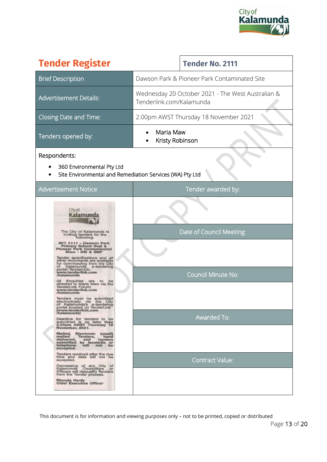

| <b>Tender Register</b>                                                                                                                                                                                                                                                                                                                                                                                                                                                                                                                                                                                                                                                                                                                                                                                  | <b>Tender No. 2111</b>                                                        |  |
|---------------------------------------------------------------------------------------------------------------------------------------------------------------------------------------------------------------------------------------------------------------------------------------------------------------------------------------------------------------------------------------------------------------------------------------------------------------------------------------------------------------------------------------------------------------------------------------------------------------------------------------------------------------------------------------------------------------------------------------------------------------------------------------------------------|-------------------------------------------------------------------------------|--|
| <b>Brief Description</b>                                                                                                                                                                                                                                                                                                                                                                                                                                                                                                                                                                                                                                                                                                                                                                                | Dawson Park & Pioneer Park Contaminated Site                                  |  |
| <b>Advertisement Details:</b>                                                                                                                                                                                                                                                                                                                                                                                                                                                                                                                                                                                                                                                                                                                                                                           | Wednesday 20 October 2021 - The West Australian &<br>Tenderlink.com/Kalamunda |  |
| Closing Date and Time:                                                                                                                                                                                                                                                                                                                                                                                                                                                                                                                                                                                                                                                                                                                                                                                  | 2.00pm AWST Thursday 18 November 2021                                         |  |
| Tenders opened by:                                                                                                                                                                                                                                                                                                                                                                                                                                                                                                                                                                                                                                                                                                                                                                                      | Maria Maw<br>Kristy Robinson                                                  |  |
| Respondents:<br>360 Environmental Pty Ltd<br>Site Environmental and Remediation Services (WA) Pty Ltd                                                                                                                                                                                                                                                                                                                                                                                                                                                                                                                                                                                                                                                                                                   |                                                                               |  |
| <b>Advertisement Notice</b>                                                                                                                                                                                                                                                                                                                                                                                                                                                                                                                                                                                                                                                                                                                                                                             | Tender awarded by:                                                            |  |
| City of<br>Kalamur<br>The City of Kalamunda is<br>inviting tenders for the<br>following:<br>RFT 2111 - Dawson Park<br><b>Primary School Oval &amp;</b><br>ioneer Park Contaminated<br>Sites - DSI & SMP<br>Tender specifications and<br>other documents are available<br>for downloading from the City<br>Kalamunda<br>e-tendering<br>portal TenderLink:<br>www.tenderlink.con<br>/kalamunda<br>Enquiries are to<br>be<br>directed to Maria Maw via the<br>TenderLink Forum:<br>www.tenderlink.com<br>/kalamunda<br>Tenders must be submitted<br>electronically<br>via une<br><b>GITV</b><br>of Kalamunda's e-tendering<br>portal located on TenderLink<br>(www.tenderlink.com<br>/kalamunda)<br>Deadline for tenders to be<br>submitted is no later than<br>2.00pm AWST Thursday 18<br>November, 2021. | Date of Council Meeting:<br><b>Council Minute No:</b><br><b>Awarded To:</b>   |  |
| Malled, Electronic (email)<br>mailed<br>Tenders, have<br>Tenders, tenders<br>mailed<br>delivered, and tenues<br>submitted by facsimile or<br>tatenhone will not be<br>Tenders received after the due<br>time and date will not be<br>accepted.<br>Canvassing of any City of<br>Kalamunda Councillors or<br>Officers will disqualify Tenders<br>from the Tender process.<br>Rhonda Hardy<br><b>Chief Executive Officer</b>                                                                                                                                                                                                                                                                                                                                                                               | <b>Contract Value:</b>                                                        |  |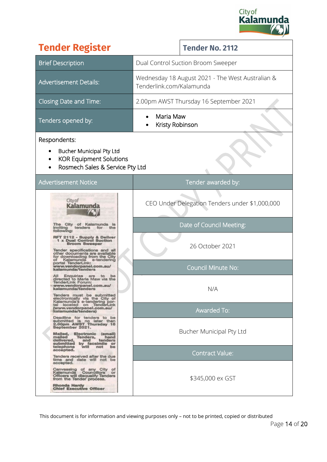

| <b>Tender Register</b>                                                                                                                                                  | <b>Tender No. 2112</b>                                                       |  |
|-------------------------------------------------------------------------------------------------------------------------------------------------------------------------|------------------------------------------------------------------------------|--|
| <b>Brief Description</b>                                                                                                                                                | Dual Control Suction Broom Sweeper                                           |  |
| <b>Advertisement Details:</b>                                                                                                                                           | Wednesday 18 August 2021 - The West Australian &<br>Tenderlink.com/Kalamunda |  |
| Closing Date and Time:                                                                                                                                                  | 2.00pm AWST Thursday 16 September 2021                                       |  |
| Tenders opened by:                                                                                                                                                      | Maria Maw<br>Kristy Robinson                                                 |  |
| Respondents:<br><b>Bucher Municipal Pty Ltd</b><br><b>KOR Equipment Solutions</b><br>Rosmech Sales & Service Pty Ltd                                                    |                                                                              |  |
| <b>Advertisement Notice</b>                                                                                                                                             | Tender awarded by:                                                           |  |
| City of<br>Kalam                                                                                                                                                        | CEO Under Delegation Tenders under \$1,000,000                               |  |
| The City of Kalamunda<br>tenders<br>inviting<br>following:                                                                                                              | Date of Council Meeting:                                                     |  |
| RFT 2112 - Supply & Deliver<br>1 x Dual Control Suction<br><b>Broom Sweeper</b><br>Tender specifications and all                                                        | 26 October 2021                                                              |  |
| other documents are available<br>for downloading from the City<br>e-tendering<br>Kalamunda<br>portal TenderLink:<br>www.vendorpanel.com.au/<br>kalamunda/tenders        | <b>Council Minute No:</b>                                                    |  |
| Enquiries are to be<br>directed to Maria Maw via the<br>TenderLink Forum:<br>www.vendorpanel.com.au/<br>kalamunda/tenders<br>Tenders must be submitted                  | N/A                                                                          |  |
| electronically via the City of<br>Kalamunda's e-tendering por-<br>tal located on TenderLink<br>(www.vendorpanel.com.au/<br>kalamunda/tenders)                           | Awarded To:                                                                  |  |
| Deadline for tenders to be<br>submitted is no later than<br>2.00pm AWST Thursday 16<br>September 2021.<br>Mailed, Electronic (email)                                    | Bucher Municipal Pty Ltd                                                     |  |
| mailed<br>Tenders,<br>hand<br>tenders<br>delivered.<br>and<br>submitted<br>by facsimile or<br>telephone<br>Will<br>be<br>not<br>accepted.                               |                                                                              |  |
| Tenders received after the due<br>time and date will not be<br>accepted.                                                                                                | <b>Contract Value:</b>                                                       |  |
| Canvassing of any City of<br>Kalamunda Councillors or<br>Officers will disqualify Tenders<br>from the Tender process.<br>Rhonda Hardy<br><b>Chief Executive Officer</b> | \$345,000 ex GST                                                             |  |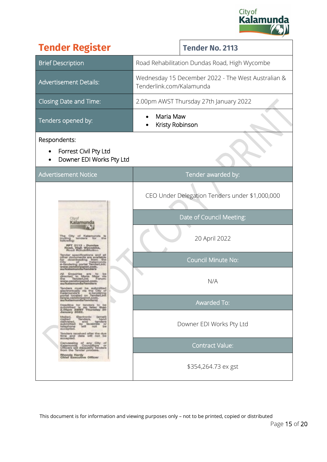

| <b>Tender Register</b>                                                                                                                                                                                                                                                                                                                                                                                                                                                                                                                                                                                                                                                                                            | <b>Tender No. 2113</b>                                                                                                                                                     |  |
|-------------------------------------------------------------------------------------------------------------------------------------------------------------------------------------------------------------------------------------------------------------------------------------------------------------------------------------------------------------------------------------------------------------------------------------------------------------------------------------------------------------------------------------------------------------------------------------------------------------------------------------------------------------------------------------------------------------------|----------------------------------------------------------------------------------------------------------------------------------------------------------------------------|--|
| <b>Brief Description</b>                                                                                                                                                                                                                                                                                                                                                                                                                                                                                                                                                                                                                                                                                          | Road Rehabilitation Dundas Road, High Wycombe                                                                                                                              |  |
| <b>Advertisement Details:</b>                                                                                                                                                                                                                                                                                                                                                                                                                                                                                                                                                                                                                                                                                     | Wednesday 15 December 2022 - The West Australian &<br>Tenderlink.com/Kalamunda                                                                                             |  |
| Closing Date and Time:                                                                                                                                                                                                                                                                                                                                                                                                                                                                                                                                                                                                                                                                                            | 2.00pm AWST Thursday 27th January 2022                                                                                                                                     |  |
| Tenders opened by:                                                                                                                                                                                                                                                                                                                                                                                                                                                                                                                                                                                                                                                                                                | Maria Maw<br>Kristy Robinson                                                                                                                                               |  |
| Respondents:<br>Forrest Civil Pty Ltd<br>Downer EDI Works Pty Ltd                                                                                                                                                                                                                                                                                                                                                                                                                                                                                                                                                                                                                                                 |                                                                                                                                                                            |  |
| <b>Advertisement Notice</b>                                                                                                                                                                                                                                                                                                                                                                                                                                                                                                                                                                                                                                                                                       | Tender awarded by:                                                                                                                                                         |  |
| Tenders must be submitted<br>electronically via the City of<br>Kalamanda's e-bandering<br>portal located on TenderLink<br>(www.vendorpanel.com.<br>au/kslamunda/tenders)<br>Deadline for tenders to be<br>submitted is no later than<br>3.00gen Awarr Thursday 20<br>January 2022,<br>Majud,<br>Electronic (email)<br>mailed<br>fendere, sendere<br>delivered.<br>delivered and tenders<br>submitted by facalmile or<br>telephone will not be<br>accepted.<br>Tenders received after the due<br>Brne and date will not be<br>accepted.<br>Canvassing of any City of<br>Kalamunda Counciligns or<br>Officers will disquality fenders<br>from the Tender process.<br><b>Rhenda Hardy</b><br>Chief Executive Officer | CEO Under Delegation Tenders under \$1,000,000<br>Date of Council Meeting:<br>20 April 2022<br><b>Council Minute No:</b><br>N/A<br>Awarded To:<br>Downer EDI Works Pty Ltd |  |
|                                                                                                                                                                                                                                                                                                                                                                                                                                                                                                                                                                                                                                                                                                                   | Contract Value:<br>\$354,264.73 ex gst                                                                                                                                     |  |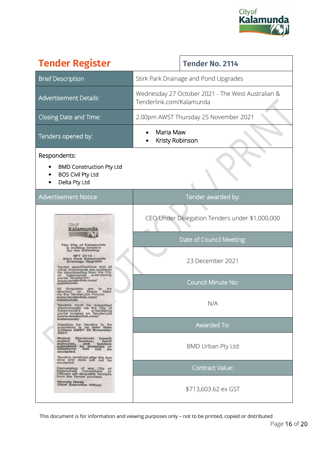

| <b>Tender Register</b>                                                                                                                                                                                                                                                                                                                                                                                                                                        | <b>Tender No. 2114</b>                                                        |  |
|---------------------------------------------------------------------------------------------------------------------------------------------------------------------------------------------------------------------------------------------------------------------------------------------------------------------------------------------------------------------------------------------------------------------------------------------------------------|-------------------------------------------------------------------------------|--|
| <b>Brief Description</b>                                                                                                                                                                                                                                                                                                                                                                                                                                      | Stirk Park Drainage and Pond Upgrades                                         |  |
| <b>Advertisement Details:</b>                                                                                                                                                                                                                                                                                                                                                                                                                                 | Wednesday 27 October 2021 - The West Australian &<br>Tenderlink.com/Kalamunda |  |
| Closing Date and Time:                                                                                                                                                                                                                                                                                                                                                                                                                                        | 2.00pm AWST Thursday 25 November 2021                                         |  |
| Tenders opened by:                                                                                                                                                                                                                                                                                                                                                                                                                                            | Maria Maw<br>Kristy Robinson                                                  |  |
| Respondents:<br><b>BMD Construction Pty Ltd</b><br><b>BOS Civil Pty Ltd</b><br>Delta Pty Ltd                                                                                                                                                                                                                                                                                                                                                                  |                                                                               |  |
| <b>Advertisement Notice</b>                                                                                                                                                                                                                                                                                                                                                                                                                                   | Tender awarded by:                                                            |  |
| City of<br>Kalamu<br>The City of Kalamunda<br>is inviting tenders<br>for the following:<br>Stirk Park Kalamunda<br><b>Drainage Upgrade</b><br>Tender specifications and<br>other documents are available                                                                                                                                                                                                                                                      | CEO Under Delegation Tenders under \$1,000,000                                |  |
|                                                                                                                                                                                                                                                                                                                                                                                                                                                               | Date of Council Meeting:                                                      |  |
|                                                                                                                                                                                                                                                                                                                                                                                                                                                               | 23 December 2021                                                              |  |
| for downloading from the City<br>Kalamunda<br>оf<br>portal TenderLink:<br>www.tenderlink.cor<br>alamunda                                                                                                                                                                                                                                                                                                                                                      | <b>Council Minute No:</b>                                                     |  |
| Enquiries<br>be<br>directed to<br>Maria<br>Maw<br>via the TenderLink Forum:<br>/ww.tenderlink.com<br>Tenders must be submitted<br>electronically via the City of<br>Kalamunda's e-tendering<br>portal located on TenderLink<br>www.tenderlink.com/                                                                                                                                                                                                            | N/A                                                                           |  |
| kalamunda)<br>Deadline for tenders to be<br>submitted is no later than<br>2.00pm AWST 25 November                                                                                                                                                                                                                                                                                                                                                             | <b>Awarded To:</b>                                                            |  |
| 2021.<br>Mailed,<br>Electronic<br>(email)<br>mailed<br>Tenders,<br>hand<br>tenders<br>delivered,<br>submitted<br>and tenders<br>by facsimile or<br>will not be<br>telephone<br>accepted.<br>Tenders received after the due<br>time and date will not be<br>accepted.<br>Canvassing of any City of<br>Kalamunda Councillors or<br><b>Officers will disqualify Tenders</b><br>from the Tender process.<br><b>Rhonda Hardy</b><br><b>Chief Executive Officer</b> | BMD Urban Pty Ltd                                                             |  |
|                                                                                                                                                                                                                                                                                                                                                                                                                                                               | <b>Contract Value:</b>                                                        |  |
|                                                                                                                                                                                                                                                                                                                                                                                                                                                               | \$713,603.62 ex GST                                                           |  |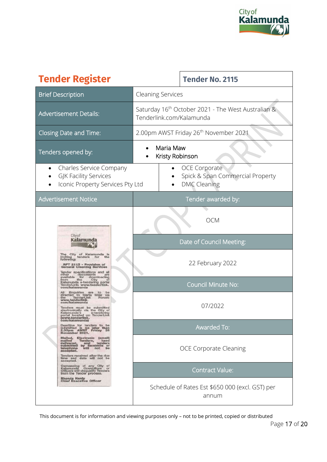

| <b>Tender Register</b>                                                                                                                                                                                                                                                                                                                                                                                                                                                                                                                                                                                                                                                                                                                                                                                                                                                                                                                                                                                                                                                                                                                                                           | <b>Tender No. 2115</b>                                                                     |  |  |
|----------------------------------------------------------------------------------------------------------------------------------------------------------------------------------------------------------------------------------------------------------------------------------------------------------------------------------------------------------------------------------------------------------------------------------------------------------------------------------------------------------------------------------------------------------------------------------------------------------------------------------------------------------------------------------------------------------------------------------------------------------------------------------------------------------------------------------------------------------------------------------------------------------------------------------------------------------------------------------------------------------------------------------------------------------------------------------------------------------------------------------------------------------------------------------|--------------------------------------------------------------------------------------------|--|--|
| <b>Brief Description</b>                                                                                                                                                                                                                                                                                                                                                                                                                                                                                                                                                                                                                                                                                                                                                                                                                                                                                                                                                                                                                                                                                                                                                         | <b>Cleaning Services</b>                                                                   |  |  |
| <b>Advertisement Details:</b>                                                                                                                                                                                                                                                                                                                                                                                                                                                                                                                                                                                                                                                                                                                                                                                                                                                                                                                                                                                                                                                                                                                                                    | Saturday 16 <sup>th</sup> October 2021 - The West Australian &<br>Tenderlink.com/Kalamunda |  |  |
| Closing Date and Time:                                                                                                                                                                                                                                                                                                                                                                                                                                                                                                                                                                                                                                                                                                                                                                                                                                                                                                                                                                                                                                                                                                                                                           | 2.00pm AWST Friday 26 <sup>th</sup> November 2021                                          |  |  |
| Tenders opened by:                                                                                                                                                                                                                                                                                                                                                                                                                                                                                                                                                                                                                                                                                                                                                                                                                                                                                                                                                                                                                                                                                                                                                               | Maria Maw<br>Kristy Robinson                                                               |  |  |
| Charles Service Company<br>$\bullet$<br><b>GJK Facility Services</b><br>Iconic Property Services Pty Ltd                                                                                                                                                                                                                                                                                                                                                                                                                                                                                                                                                                                                                                                                                                                                                                                                                                                                                                                                                                                                                                                                         | <b>OCE Corporate</b><br>Spick & Span Commercial Property<br><b>DMC Cleaning</b>            |  |  |
| <b>Advertisement Notice</b>                                                                                                                                                                                                                                                                                                                                                                                                                                                                                                                                                                                                                                                                                                                                                                                                                                                                                                                                                                                                                                                                                                                                                      | Tender awarded by:                                                                         |  |  |
| Cityof<br>The City of Kalamunda<br>inviting tenders for tl<br>the<br>following:<br>RFT 2115 - Provision of<br><b>General Cleaning Services</b><br>Tender specifications and all<br>documents<br>for down<br>other<br>are<br>available<br>downloading<br>the<br>City<br>rom<br>Kalamunda e-tendering<br>portal<br>TenderLink: www.tenderlink.<br>com/kalamunda<br>Enquiries<br>are<br>to<br>directed to Maria Maw via<br>the TenderLink Forum:<br>the<br>www.tenderlink.<br>com/kalamunda<br>Tenders must be submitted<br>electronically via the City of<br>Kalamunda's e-tendering<br>portal located on TenderLink<br>(www.tenderlink.<br>com/kalamunda)<br>Deadline for tenders to be<br>submitted is no later than<br>2.00pm AWST Friday 26<br>November 2021.<br>Mailed, Electronic (email)<br>mailed<br>Tenders,<br>hand<br>mains<br>delivered, and<br>submitted by facsimile or<br>tolophone will not be<br>accepted.<br>Tenders received after the due<br>time and date will not be<br>accepted.<br>Canvassing of any City of<br>Kalamunda Councillors or<br>Officers.will.disqualify.Tenders<br>from the Tender process.<br>Rhonda Hardy<br><b>Chief Executive Officer</b> | <b>OCM</b><br>Date of Council Meeting:                                                     |  |  |
|                                                                                                                                                                                                                                                                                                                                                                                                                                                                                                                                                                                                                                                                                                                                                                                                                                                                                                                                                                                                                                                                                                                                                                                  | 22 February 2022                                                                           |  |  |
|                                                                                                                                                                                                                                                                                                                                                                                                                                                                                                                                                                                                                                                                                                                                                                                                                                                                                                                                                                                                                                                                                                                                                                                  | <b>Council Minute No:</b>                                                                  |  |  |
|                                                                                                                                                                                                                                                                                                                                                                                                                                                                                                                                                                                                                                                                                                                                                                                                                                                                                                                                                                                                                                                                                                                                                                                  | 07/2022                                                                                    |  |  |
|                                                                                                                                                                                                                                                                                                                                                                                                                                                                                                                                                                                                                                                                                                                                                                                                                                                                                                                                                                                                                                                                                                                                                                                  | Awarded To:                                                                                |  |  |
|                                                                                                                                                                                                                                                                                                                                                                                                                                                                                                                                                                                                                                                                                                                                                                                                                                                                                                                                                                                                                                                                                                                                                                                  | <b>OCE Corporate Cleaning</b>                                                              |  |  |
|                                                                                                                                                                                                                                                                                                                                                                                                                                                                                                                                                                                                                                                                                                                                                                                                                                                                                                                                                                                                                                                                                                                                                                                  | <b>Contract Value:</b>                                                                     |  |  |
|                                                                                                                                                                                                                                                                                                                                                                                                                                                                                                                                                                                                                                                                                                                                                                                                                                                                                                                                                                                                                                                                                                                                                                                  | Schedule of Rates Est \$650 000 (excl. GST) per<br>annum                                   |  |  |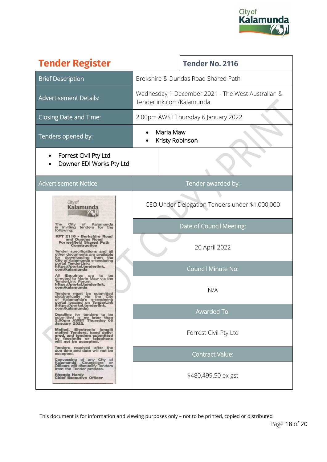

| <b>Tender Register</b>                                                                                                                                                                           |                                                                               | <b>Tender No. 2116</b>                         |  |
|--------------------------------------------------------------------------------------------------------------------------------------------------------------------------------------------------|-------------------------------------------------------------------------------|------------------------------------------------|--|
| <b>Brief Description</b>                                                                                                                                                                         | Brekshire & Dundas Road Shared Path                                           |                                                |  |
| <b>Advertisement Details:</b>                                                                                                                                                                    | Wednesday 1 December 2021 - The West Australian &<br>Tenderlink.com/Kalamunda |                                                |  |
| Closing Date and Time:                                                                                                                                                                           | 2.00pm AWST Thursday 6 January 2022                                           |                                                |  |
| Tenders opened by:                                                                                                                                                                               | Maria Maw<br>Kristy Robinson                                                  |                                                |  |
| Forrest Civil Pty Ltd<br>Downer EDI Works Pty Ltd                                                                                                                                                |                                                                               |                                                |  |
| <b>Advertisement Notice</b>                                                                                                                                                                      | Tender awarded by:                                                            |                                                |  |
| City of<br>Kalamı<br>City<br>Kalamunda<br>ot                                                                                                                                                     |                                                                               | CEO Under Delegation Tenders under \$1,000,000 |  |
| inviting<br>tenders<br>for<br>the<br>following:                                                                                                                                                  |                                                                               | Date of Council Meeting:                       |  |
| 2116 - Berkshire Road<br>and Dundas Road<br><b>Forrestfield Shared Path</b><br>Construction<br>Tender specifications and all                                                                     | 20 April 2022                                                                 |                                                |  |
| other documents are available<br>for downloading from the<br>City of Kalamunda e-tendering<br>the<br>portal TenderLink:<br>https://portal.tenderlink<br>com/kalamunda                            | <b>Council Minute No:</b>                                                     |                                                |  |
| Enquiries<br>be<br>are<br>to<br>directed to Maria Maw via the<br>TenderLink Forum:<br>https://portal.tenderlink.<br>com/kalamunda<br>Tenders must be submitted<br>electronically via the City    |                                                                               | N/A                                            |  |
| Kalamunda's<br>оf<br>e-tendering<br>portal located on TenderLink<br>(https://portal.tenderlink.<br>com/kalamunda)                                                                                | Awarded To:                                                                   |                                                |  |
| Deadline for tenders to be<br>submitted is no later than<br>2.00pm AWST Thursday 06<br>January 2022.<br>Mailed, Electronic (email)<br>mailed Tenders, hand deliv-<br>ered, and tenders submitted | Forrest Civil Pty Ltd                                                         |                                                |  |
| by facsimile or telephone<br>will not be accepted.<br>Tenders received after the                                                                                                                 |                                                                               |                                                |  |
| due time and date will not be<br>accepted.<br>Canvassing of any City of                                                                                                                          | <b>Contract Value:</b>                                                        |                                                |  |
| Kalamunda<br>Councillors<br>or<br>Officers will disqualify Tenders<br>from the Tender process.<br>Rhonda Hardy<br><b>Chief Executive Officer</b>                                                 |                                                                               | \$480,499.50 ex gst                            |  |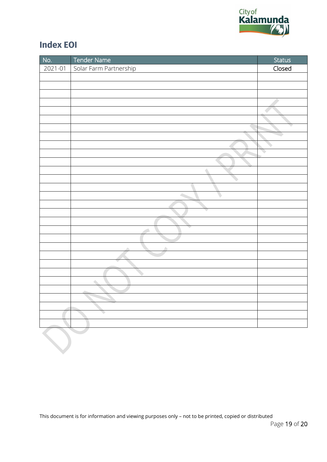

## **Index EOI**

| No.     | Tender Name            | <b>Status</b> |
|---------|------------------------|---------------|
| 2021-01 | Solar Farm Partnership | Closed        |
|         |                        |               |
|         |                        |               |
|         |                        |               |
|         |                        |               |
|         |                        |               |
|         |                        |               |
|         |                        |               |
|         |                        |               |
|         |                        |               |
|         |                        |               |
|         |                        |               |
|         |                        |               |
|         |                        |               |
|         |                        |               |
|         |                        |               |
|         |                        |               |
|         |                        |               |
|         |                        |               |
|         |                        |               |
|         |                        |               |
|         |                        |               |
|         |                        |               |
|         |                        |               |
|         | ۰                      |               |
|         |                        |               |
|         |                        |               |
|         |                        |               |
|         |                        |               |
|         |                        |               |
|         |                        |               |
|         |                        |               |
|         |                        |               |